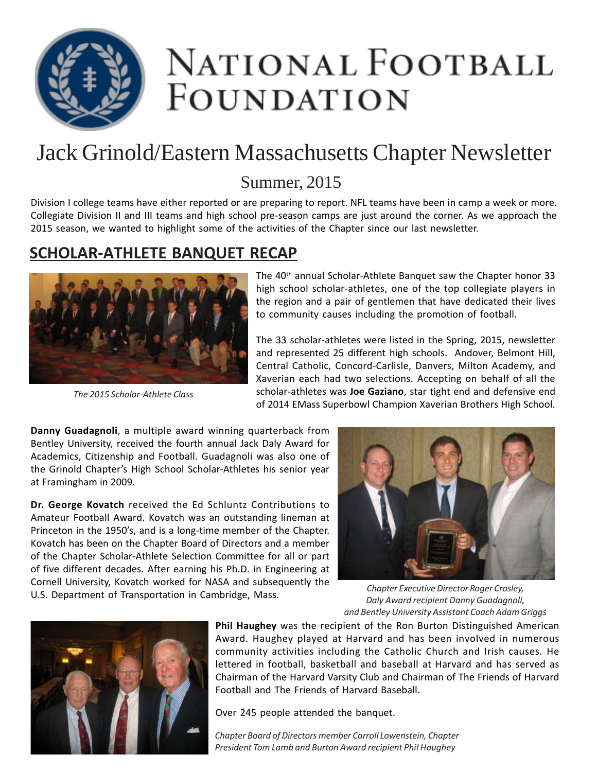

# NATIONAL FOOTBALL FOUNDATION

### Jack Grinold/Eastern Massachusetts Chapter Newsletter

#### Summer, 2015

Division I college teams have either reported or are preparing to report. NFL teams have been in camp a week or more. Collegiate Division II and III teams and high school pre-season camps are just around the corner. As we approach the 2015 season, we wanted to highlight some of the activities of the Chapter since our last newsletter.

#### **SCHOLAR-ATHLETE BANQUET RECAP**



*The 2015 Scholar-Athlete Class*

The 40th annual Scholar-Athlete Banquet saw the Chapter honor 33 high school scholar-athletes, one of the top collegiate players in the region and a pair of gentlemen that have dedicated their lives to community causes including the promotion of football.

The 33 scholar-athletes were listed in the Spring, 2015, newsletter and represented 25 different high schools. Andover, Belmont Hill, Central Catholic, Concord-Carlisle, Danvers, Milton Academy, and Xaverian each had two selections. Accepting on behalf of all the scholar-athletes was **Joe Gaziano**, star tight end and defensive end of 2014 EMass Superbowl Champion Xaverian Brothers High School.

**Danny Guadagnoli**, a multiple award winning quarterback from Bentley University, received the fourth annual Jack Daly Award for Academics, Citizenship and Football. Guadagnoli was also one of the Grinold Chapter's High School Scholar-Athletes his senior year at Framingham in 2009.

**Dr. George Kovatch** received the Ed Schluntz Contributions to Amateur Football Award. Kovatch was an outstanding lineman at Princeton in the 1950's, and is a long-time member of the Chapter. Kovatch has been on the Chapter Board of Directors and a member of the Chapter Scholar-Athlete Selection Committee for all or part of five different decades. After earning his Ph.D. in Engineering at Cornell University, Kovatch worked for NASA and subsequently the U.S. Department of Transportation in Cambridge, Mass.



*Chapter Executive Director Roger Crosley, Daly Award recipient Danny Guadagnoli, and Bentley University Assistant Coach Adam Griggs*



**Phil Haughey** was the recipient of the Ron Burton Distinguished American Award. Haughey played at Harvard and has been involved in numerous community activities including the Catholic Church and Irish causes. He lettered in football, basketball and baseball at Harvard and has served as Chairman of the Harvard Varsity Club and Chairman of The Friends of Harvard Football and The Friends of Harvard Baseball.

Over 245 people attended the banquet.

*Chapter Board of Directors member Carroll Lowenstein, Chapter President Tom Lamb and Burton Award recipient Phil Haughey*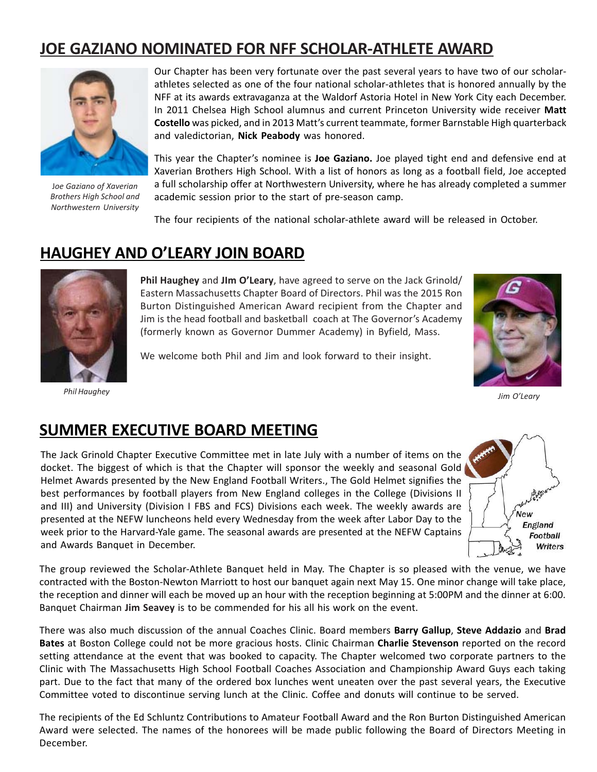#### **JOE GAZIANO NOMINATED FOR NFF SCHOLAR-ATHLETE AWARD**



J*oe Gaziano of Xaverian Brothers High School and Northwestern University*

Our Chapter has been very fortunate over the past several years to have two of our scholarathletes selected as one of the four national scholar-athletes that is honored annually by the NFF at its awards extravaganza at the Waldorf Astoria Hotel in New York City each December. In 2011 Chelsea High School alumnus and current Princeton University wide receiver **Matt Costello** was picked, and in 2013 Matt's current teammate, former Barnstable High quarterback and valedictorian, **Nick Peabody** was honored.

This year the Chapter's nominee is **Joe Gaziano.** Joe played tight end and defensive end at Xaverian Brothers High School. With a list of honors as long as a football field, Joe accepted a full scholarship offer at Northwestern University, where he has already completed a summer academic session prior to the start of pre-season camp.

The four recipients of the national scholar-athlete award will be released in October.

#### **HAUGHEY AND O'LEARY JOIN BOARD**



**Phil Haughey** and **JIm O'Leary**, have agreed to serve on the Jack Grinold/ Eastern Massachusetts Chapter Board of Directors. Phil was the 2015 Ron Burton Distinguished American Award recipient from the Chapter and Jim is the head football and basketball coach at The Governor's Academy (formerly known as Governor Dummer Academy) in Byfield, Mass.





*Phil Haughey Jim O'Leary*

#### **SUMMER EXECUTIVE BOARD MEETING**

The Jack Grinold Chapter Executive Committee met in late July with a number of items on the docket. The biggest of which is that the Chapter will sponsor the weekly and seasonal Gold Helmet Awards presented by the New England Football Writers., The Gold Helmet signifies the best performances by football players from New England colleges in the College (Divisions II and III) and University (Division I FBS and FCS) Divisions each week. The weekly awards are presented at the NEFW luncheons held every Wednesday from the week after Labor Day to the week prior to the Harvard-Yale game. The seasonal awards are presented at the NEFW Captains and Awards Banquet in December.



The group reviewed the Scholar-Athlete Banquet held in May. The Chapter is so pleased with the venue, we have contracted with the Boston-Newton Marriott to host our banquet again next May 15. One minor change will take place, the reception and dinner will each be moved up an hour with the reception beginning at 5:00PM and the dinner at 6:00. Banquet Chairman **Jim Seavey** is to be commended for his all his work on the event.

There was also much discussion of the annual Coaches Clinic. Board members **Barry Gallup**, **Steve Addazio** and **Brad Bates** at Boston College could not be more gracious hosts. Clinic Chairman **Charlie Stevenson** reported on the record setting attendance at the event that was booked to capacity. The Chapter welcomed two corporate partners to the Clinic with The Massachusetts High School Football Coaches Association and Championship Award Guys each taking part. Due to the fact that many of the ordered box lunches went uneaten over the past several years, the Executive Committee voted to discontinue serving lunch at the Clinic. Coffee and donuts will continue to be served.

The recipients of the Ed Schluntz Contributions to Amateur Football Award and the Ron Burton Distinguished American Award were selected. The names of the honorees will be made public following the Board of Directors Meeting in December.